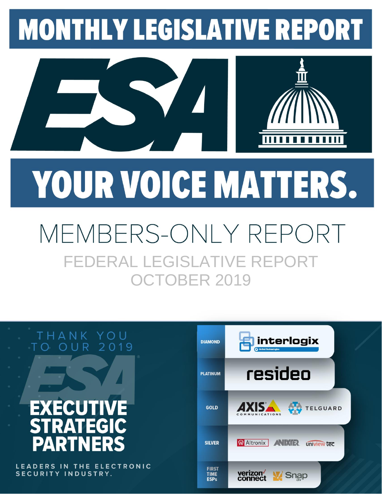## **MONTHLY LEGISLATIVE REPORT**



# YOUR VOICE MATTERS.

## MEMBERS-ONLY REPOI FEDERAL LEGISLATIVE REPORT OCTOBER 2019



LEADERS IN THE ELECTRONIC SECURITY INDUSTRY.

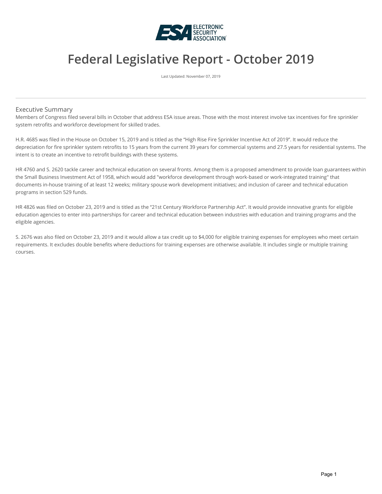

#### **Federal Legislative Report - October 2019**

Last Updated: November 07, 2019

#### Executive Summary

Members of Congress filed several bills in October that address ESA issue areas. Those with the most interest involve tax incentives for fire sprinkler system retrofits and workforce development for skilled trades.

H.R. 4685 was filed in the House on October 15, 2019 and is titled as the "High Rise Fire Sprinkler Incentive Act of 2019". It would reduce the depreciation for fire sprinkler system retrofits to 15 years from the current 39 years for commercial systems and 27.5 years for residential systems. The intent is to create an incentive to retrofit buildings with these systems.

HR 4760 and S. 2620 tackle career and technical education on several fronts. Among them is a proposed amendment to provide loan guarantees within the Small Business Investment Act of 1958, which would add "workforce development through work-based or work-integrated training" that documents in-house training of at least 12 weeks; military spouse work development initiatives; and inclusion of career and technical education programs in section 529 funds.

HR 4826 was filed on October 23, 2019 and is titled as the "21st Century Workforce Partnership Act". It would provide innovative grants for eligible education agencies to enter into partnerships for career and technical education between industries with education and training programs and the eligible agencies.

S. 2676 was also filed on October 23, 2019 and it would allow a tax credit up to \$4,000 for eligible training expenses for employees who meet certain requirements. It excludes double benefits where deductions for training expenses are otherwise available. It includes single or multiple training courses.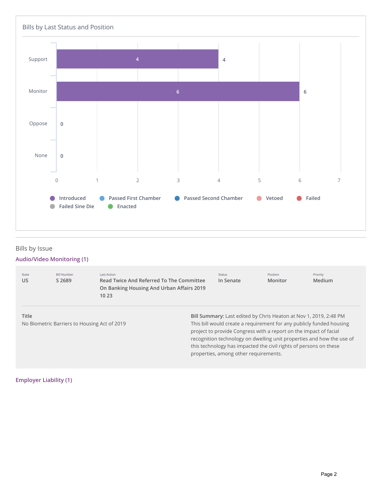

#### **Bills** by Issue

#### **Audio/Video Monitoring (1)**

| State<br>US                                                  | <b>Bill Number</b><br>S 2689 | Last Action<br>Read Twice And Referred To The Committee<br>On Banking Housing And Urban Affairs 2019<br>10 23                                                                                                                                                                                                                                                                                         | Status<br>In Senate | Position<br>Monitor | Priority<br>Medium |
|--------------------------------------------------------------|------------------------------|-------------------------------------------------------------------------------------------------------------------------------------------------------------------------------------------------------------------------------------------------------------------------------------------------------------------------------------------------------------------------------------------------------|---------------------|---------------------|--------------------|
| <b>Title</b><br>No Biometric Barriers to Housing Act of 2019 |                              | Bill Summary: Last edited by Chris Heaton at Nov 1, 2019, 2:48 PM<br>This bill would create a requirement for any publicly funded housing<br>project to provide Congress with a report on the impact of facial<br>recognition technology on dwelling unit properties and how the use of<br>this technology has impacted the civil rights of persons on these<br>properties, among other requirements. |                     |                     |                    |

**Employer Liability (1)**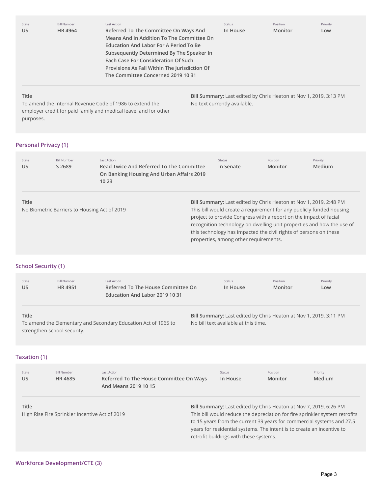| State        | <b>Bill Number</b> | Last Action                                                                                                                                                                                                                                                                                                    | Status   | Position                                                          | Priority |
|--------------|--------------------|----------------------------------------------------------------------------------------------------------------------------------------------------------------------------------------------------------------------------------------------------------------------------------------------------------------|----------|-------------------------------------------------------------------|----------|
| <b>US</b>    | HR 4964            | Referred To The Committee On Ways And<br>Means And In Addition To The Committee On<br><b>Education And Labor For A Period To Be</b><br>Subsequently Determined By The Speaker In<br>Each Case For Consideration Of Such<br>Provisions As Fall Within The Jurisdiction Of<br>The Committee Concerned 2019 10 31 | In House | Monitor                                                           | Low      |
| <b>Title</b> |                    |                                                                                                                                                                                                                                                                                                                |          | Bill Summary: Last edited by Chris Heaton at Nov 1, 2019, 3:13 PM |          |

No text currently available.

To amend the Internal Revenue Code of 1986 to extend the employer credit for paid family and medical leave, and for other purposes.

#### **Personal Privacy (1)**

| State<br>US | <b>Bill Number</b><br>S 2689                 | Last Action<br>Read Twice And Referred To The Committee<br>On Banking Housing And Urban Affairs 2019<br>10 23 |  | <b>Status</b><br>In Senate | Position<br>Monitor                                                                                                                                                             | Priority<br>Medium                                                                                                                                                                                                 |
|-------------|----------------------------------------------|---------------------------------------------------------------------------------------------------------------|--|----------------------------|---------------------------------------------------------------------------------------------------------------------------------------------------------------------------------|--------------------------------------------------------------------------------------------------------------------------------------------------------------------------------------------------------------------|
| Title       | No Biometric Barriers to Housing Act of 2019 |                                                                                                               |  |                            | project to provide Congress with a report on the impact of facial<br>this technology has impacted the civil rights of persons on these<br>properties, among other requirements. | Bill Summary: Last edited by Chris Heaton at Nov 1, 2019, 2:48 PM<br>This bill would create a requirement for any publicly funded housing<br>recognition technology on dwelling unit properties and how the use of |

#### **School Security (1)**

| State<br>US  | <b>Bill Number</b><br>HR 4951 | Last Action<br>Referred To The House Committee On<br>Education And Labor 2019 10 31 | Status<br>In House                   | Position<br>Monitor                                               | Priority<br>Low |
|--------------|-------------------------------|-------------------------------------------------------------------------------------|--------------------------------------|-------------------------------------------------------------------|-----------------|
| <b>Title</b> | strengthen school security.   | To amend the Elementary and Secondary Education Act of 1965 to                      | No bill text available at this time. | Bill Summary: Last edited by Chris Heaton at Nov 1, 2019, 3:11 PM |                 |

#### **Taxation (1)**

| State<br>US  | <b>Bill Number</b><br>HR 4685                  | Last Action<br>Referred To The House Committee On Ways<br>And Means 2019 10 15 | Status<br>In House                     | Position<br><b>Monitor</b> | Priority<br><b>Medium</b>                                                                                                                                                                                                                                                                           |
|--------------|------------------------------------------------|--------------------------------------------------------------------------------|----------------------------------------|----------------------------|-----------------------------------------------------------------------------------------------------------------------------------------------------------------------------------------------------------------------------------------------------------------------------------------------------|
| <b>Title</b> | High Rise Fire Sprinkler Incentive Act of 2019 |                                                                                | retrofit buildings with these systems. |                            | Bill Summary: Last edited by Chris Heaton at Nov 7, 2019, 6:26 PM<br>This bill would reduce the depreciation for fire sprinkler system retrofits<br>to 15 years from the current 39 years for commercial systems and 27.5<br>years for residential systems. The intent is to create an incentive to |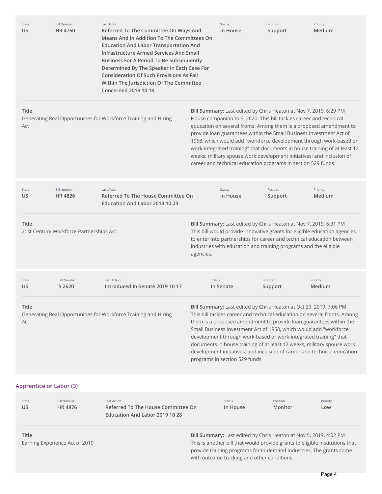| State<br>US                    | <b>Bill Number</b><br>HR 4760           | <b>Last Action</b><br>Referred To The Committee On Ways And<br><b>Means And In Addition To The Committees On</b><br><b>Education And Labor Transportation And</b><br><b>Infrastructure Armed Services And Small</b><br><b>Business For A Period To Be Subsequently</b><br>Determined By The Speaker In Each Case For<br><b>Consideration Of Such Provisions As Fall</b><br>Within The Jurisdiction Of The Committee<br><b>Concerned 2019 10 18</b> |               | <b>Status</b><br>In House      | Position<br>Support                                                                                                                 | Priority<br>Medium                                                                                                                                                                                                                                                                                                                                                                                                                                                                                                   |
|--------------------------------|-----------------------------------------|----------------------------------------------------------------------------------------------------------------------------------------------------------------------------------------------------------------------------------------------------------------------------------------------------------------------------------------------------------------------------------------------------------------------------------------------------|---------------|--------------------------------|-------------------------------------------------------------------------------------------------------------------------------------|----------------------------------------------------------------------------------------------------------------------------------------------------------------------------------------------------------------------------------------------------------------------------------------------------------------------------------------------------------------------------------------------------------------------------------------------------------------------------------------------------------------------|
| <b>Title</b><br>Act            |                                         | Generating Real Opportunities for Workforce Training and Hiring                                                                                                                                                                                                                                                                                                                                                                                    |               |                                | House companion to S. 2620. This bill tackles career and technical<br>career and technical education programs in section 529 funds. | Bill Summary: Last edited by Chris Heaton at Nov 7, 2019, 6:29 PM<br>education on several fronts. Among them is a proposed amendment to<br>provide loan guarantees within the Small Business Investment Act of<br>1958, which would add "workforce development through work-based or<br>work-integrated training" that documents in house training of at least 12<br>weeks; military spouse work development initiatives; and inclusion of                                                                           |
| State<br>US                    | <b>Bill Number</b><br><b>HR4826</b>     | <b>Last Action</b><br>Referred To The House Committee On<br>Education And Labor 2019 10 23                                                                                                                                                                                                                                                                                                                                                         |               | <b>Status</b><br>In House      | Position<br>Support                                                                                                                 | Priority<br>Medium                                                                                                                                                                                                                                                                                                                                                                                                                                                                                                   |
| <b>Title</b>                   | 21st Century Workforce Partnerships Act |                                                                                                                                                                                                                                                                                                                                                                                                                                                    | agencies.     |                                | industries with education and training programs and the eligible                                                                    | Bill Summary: Last edited by Chris Heaton at Nov 7, 2019, 6:31 PM<br>This bill would provide innovative grants for eligible education agencies<br>to enter into partnerships for career and technical education between                                                                                                                                                                                                                                                                                              |
| State<br>US                    | <b>Bill Number</b><br>S 2620            | <b>Last Action</b><br>Introduced In Senate 2019 10 17                                                                                                                                                                                                                                                                                                                                                                                              | <b>Status</b> | In Senate                      | Position<br>Support                                                                                                                 | Priority<br><b>Medium</b>                                                                                                                                                                                                                                                                                                                                                                                                                                                                                            |
| Title<br>Act                   |                                         | Generating Real Opportunities for Workforce Training and Hiring                                                                                                                                                                                                                                                                                                                                                                                    |               | programs in section 529 funds. |                                                                                                                                     | Bill Summary: Last edited by Chris Heaton at Oct 29, 2019, 7:06 PM<br>This bill tackles career and technical education on several fronts. Among<br>them is a proposed amendment to provide loan guarantees within the<br>Small Business Investment Act of 1958, which would add "workforce<br>development through work-based or work-integrated training" that<br>documents in house training of at least 12 weeks; military spouse work<br>development initiatives; and inclusion of career and technical education |
| <b>Apprentice or Labor (3)</b> |                                         |                                                                                                                                                                                                                                                                                                                                                                                                                                                    |               |                                |                                                                                                                                     |                                                                                                                                                                                                                                                                                                                                                                                                                                                                                                                      |
| State<br>US.                   | <b>Bill Number</b><br>HR 4876           | <b>Last Action</b><br>Referred To The House Committee On<br>Education And Labor 2019 10 28                                                                                                                                                                                                                                                                                                                                                         |               | <b>Status</b><br>In House      | Position<br>Monitor                                                                                                                 | Priority<br>Low                                                                                                                                                                                                                                                                                                                                                                                                                                                                                                      |
| <b>Title</b>                   | Earning Experience Act of 2019          |                                                                                                                                                                                                                                                                                                                                                                                                                                                    |               |                                |                                                                                                                                     | Bill Summary: Last edited by Chris Heaton at Nov 5, 2019, 4:02 PM<br>This is another bill that would provide grants to eligible institutions that<br>provide training programs for in-demand industries. The grants come                                                                                                                                                                                                                                                                                             |

with outcome tracking and other conditions.